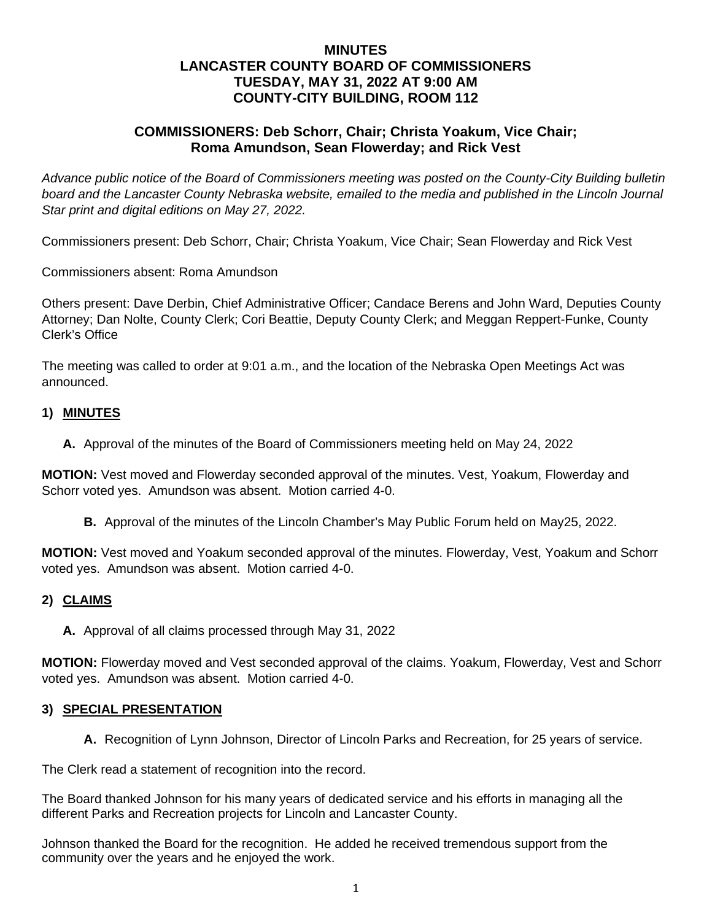# **MINUTES LANCASTER COUNTY BOARD OF COMMISSIONERS TUESDAY, MAY 31, 2022 AT 9:00 AM COUNTY-CITY BUILDING, ROOM 112**

# **COMMISSIONERS: Deb Schorr, Chair; Christa Yoakum, Vice Chair; Roma Amundson, Sean Flowerday; and Rick Vest**

*Advance public notice of the Board of Commissioners meeting was posted on the County-City Building bulletin*  board and the Lancaster County Nebraska website, emailed to the media and published in the Lincoln Journal *Star print and digital editions on May 27, 2022.*

Commissioners present: Deb Schorr, Chair; Christa Yoakum, Vice Chair; Sean Flowerday and Rick Vest

Commissioners absent: Roma Amundson

Others present: Dave Derbin, Chief Administrative Officer; Candace Berens and John Ward, Deputies County Attorney; Dan Nolte, County Clerk; Cori Beattie, Deputy County Clerk; and Meggan Reppert-Funke, County Clerk's Office

The meeting was called to order at 9:01 a.m., and the location of the Nebraska Open Meetings Act was announced.

## **1) MINUTES**

**A.** Approval of the minutes of the Board of Commissioners meeting held on May 24, 2022

**MOTION:** Vest moved and Flowerday seconded approval of the minutes. Vest, Yoakum, Flowerday and Schorr voted yes. Amundson was absent. Motion carried 4-0.

**B.** Approval of the minutes of the Lincoln Chamber's May Public Forum held on May25, 2022.

**MOTION:** Vest moved and Yoakum seconded approval of the minutes. Flowerday, Vest, Yoakum and Schorr voted yes. Amundson was absent. Motion carried 4-0.

## **2) CLAIMS**

**A.** Approval of all claims processed through May 31, 2022

**MOTION:** Flowerday moved and Vest seconded approval of the claims. Yoakum, Flowerday, Vest and Schorr voted yes. Amundson was absent. Motion carried 4-0.

#### **3) SPECIAL PRESENTATION**

**A.** Recognition of Lynn Johnson, Director of Lincoln Parks and Recreation, for 25 years of service.

The Clerk read a statement of recognition into the record.

The Board thanked Johnson for his many years of dedicated service and his efforts in managing all the different Parks and Recreation projects for Lincoln and Lancaster County.

Johnson thanked the Board for the recognition. He added he received tremendous support from the community over the years and he enjoyed the work.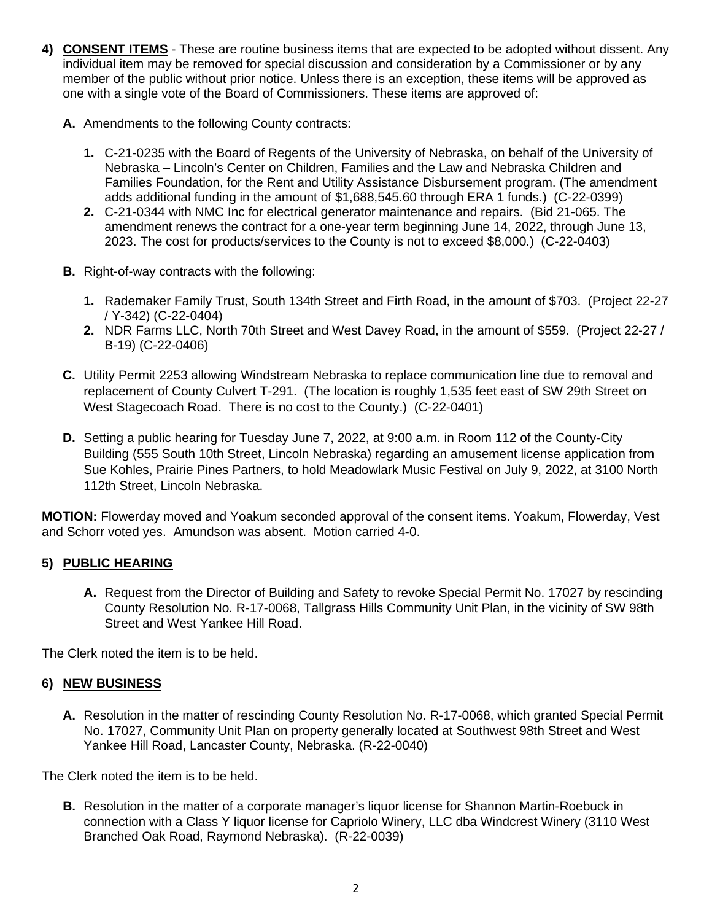- **4) CONSENT ITEMS** These are routine business items that are expected to be adopted without dissent. Any individual item may be removed for special discussion and consideration by a Commissioner or by any member of the public without prior notice. Unless there is an exception, these items will be approved as one with a single vote of the Board of Commissioners. These items are approved of:
	- **A.** Amendments to the following County contracts:
		- **1.** C-21-0235 with the Board of Regents of the University of Nebraska, on behalf of the University of Nebraska – Lincoln's Center on Children, Families and the Law and Nebraska Children and Families Foundation, for the Rent and Utility Assistance Disbursement program. (The amendment adds additional funding in the amount of \$1,688,545.60 through ERA 1 funds.) (C-22-0399)
		- **2.** C-21-0344 with NMC Inc for electrical generator maintenance and repairs. (Bid 21-065. The amendment renews the contract for a one-year term beginning June 14, 2022, through June 13, 2023. The cost for products/services to the County is not to exceed \$8,000.) (C-22-0403)
	- **B.** Right-of-way contracts with the following:
		- **1.** Rademaker Family Trust, South 134th Street and Firth Road, in the amount of \$703. (Project 22-27 / Y-342) (C-22-0404)
		- **2.** NDR Farms LLC, North 70th Street and West Davey Road, in the amount of \$559. (Project 22-27 / B-19) (C-22-0406)
	- **C.** Utility Permit 2253 allowing Windstream Nebraska to replace communication line due to removal and replacement of County Culvert T-291. (The location is roughly 1,535 feet east of SW 29th Street on West Stagecoach Road. There is no cost to the County.) (C-22-0401)
	- **D.** Setting a public hearing for Tuesday June 7, 2022, at 9:00 a.m. in Room 112 of the County-City Building (555 South 10th Street, Lincoln Nebraska) regarding an amusement license application from Sue Kohles, Prairie Pines Partners, to hold Meadowlark Music Festival on July 9, 2022, at 3100 North 112th Street, Lincoln Nebraska.

**MOTION:** Flowerday moved and Yoakum seconded approval of the consent items. Yoakum, Flowerday, Vest and Schorr voted yes. Amundson was absent. Motion carried 4-0.

# **5) PUBLIC HEARING**

**A.** Request from the Director of Building and Safety to revoke Special Permit No. 17027 by rescinding County Resolution No. R-17-0068, Tallgrass Hills Community Unit Plan, in the vicinity of SW 98th Street and West Yankee Hill Road.

The Clerk noted the item is to be held.

## **6) NEW BUSINESS**

**A.** Resolution in the matter of rescinding County Resolution No. R-17-0068, which granted Special Permit No. 17027, Community Unit Plan on property generally located at Southwest 98th Street and West Yankee Hill Road, Lancaster County, Nebraska. (R-22-0040)

The Clerk noted the item is to be held.

**B.** Resolution in the matter of a corporate manager's liquor license for Shannon Martin-Roebuck in connection with a Class Y liquor license for Capriolo Winery, LLC dba Windcrest Winery (3110 West Branched Oak Road, Raymond Nebraska). (R-22-0039)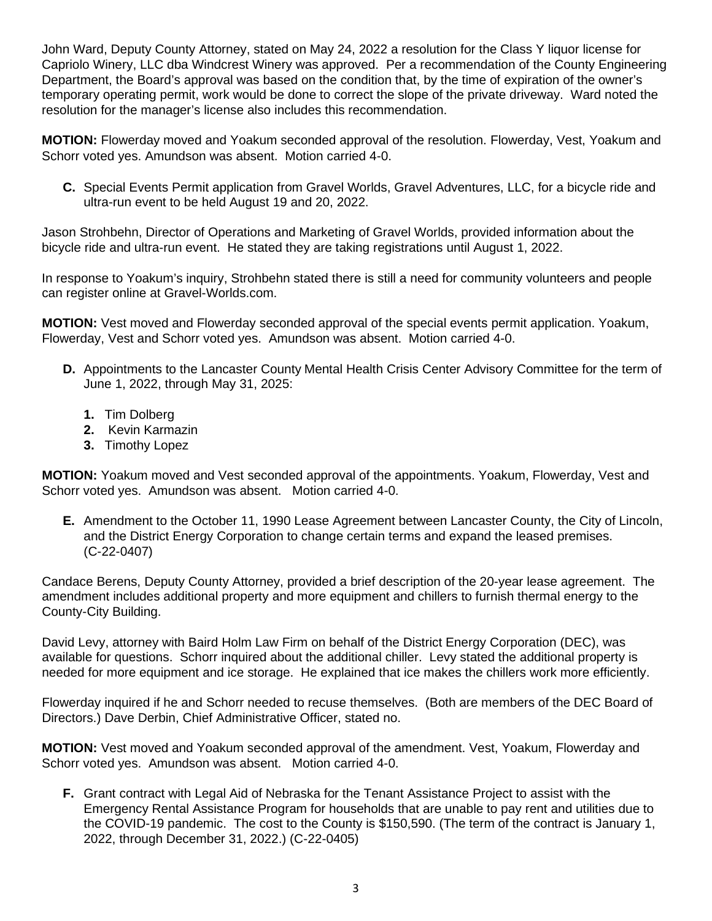John Ward, Deputy County Attorney, stated on May 24, 2022 a resolution for the Class Y liquor license for Capriolo Winery, LLC dba Windcrest Winery was approved. Per a recommendation of the County Engineering Department, the Board's approval was based on the condition that, by the time of expiration of the owner's temporary operating permit, work would be done to correct the slope of the private driveway. Ward noted the resolution for the manager's license also includes this recommendation.

**MOTION:** Flowerday moved and Yoakum seconded approval of the resolution. Flowerday, Vest, Yoakum and Schorr voted yes. Amundson was absent. Motion carried 4-0.

**C.** Special Events Permit application from Gravel Worlds, Gravel Adventures, LLC, for a bicycle ride and ultra-run event to be held August 19 and 20, 2022.

Jason Strohbehn, Director of Operations and Marketing of Gravel Worlds, provided information about the bicycle ride and ultra-run event. He stated they are taking registrations until August 1, 2022.

In response to Yoakum's inquiry, Strohbehn stated there is still a need for community volunteers and people can register online at Gravel-Worlds.com.

**MOTION:** Vest moved and Flowerday seconded approval of the special events permit application. Yoakum, Flowerday, Vest and Schorr voted yes. Amundson was absent. Motion carried 4-0.

- **D.** Appointments to the Lancaster County Mental Health Crisis Center Advisory Committee for the term of June 1, 2022, through May 31, 2025:
	- **1.** Tim Dolberg
	- **2.** Kevin Karmazin
	- **3.** Timothy Lopez

**MOTION:** Yoakum moved and Vest seconded approval of the appointments. Yoakum, Flowerday, Vest and Schorr voted yes. Amundson was absent. Motion carried 4-0.

**E.** Amendment to the October 11, 1990 Lease Agreement between Lancaster County, the City of Lincoln, and the District Energy Corporation to change certain terms and expand the leased premises. (C-22-0407)

Candace Berens, Deputy County Attorney, provided a brief description of the 20-year lease agreement. The amendment includes additional property and more equipment and chillers to furnish thermal energy to the County-City Building.

David Levy, attorney with Baird Holm Law Firm on behalf of the District Energy Corporation (DEC), was available for questions. Schorr inquired about the additional chiller. Levy stated the additional property is needed for more equipment and ice storage. He explained that ice makes the chillers work more efficiently.

Flowerday inquired if he and Schorr needed to recuse themselves. (Both are members of the DEC Board of Directors.) Dave Derbin, Chief Administrative Officer, stated no.

**MOTION:** Vest moved and Yoakum seconded approval of the amendment. Vest, Yoakum, Flowerday and Schorr voted yes. Amundson was absent. Motion carried 4-0.

**F.** Grant contract with Legal Aid of Nebraska for the Tenant Assistance Project to assist with the Emergency Rental Assistance Program for households that are unable to pay rent and utilities due to the COVID-19 pandemic. The cost to the County is \$150,590. (The term of the contract is January 1, 2022, through December 31, 2022.) (C-22-0405)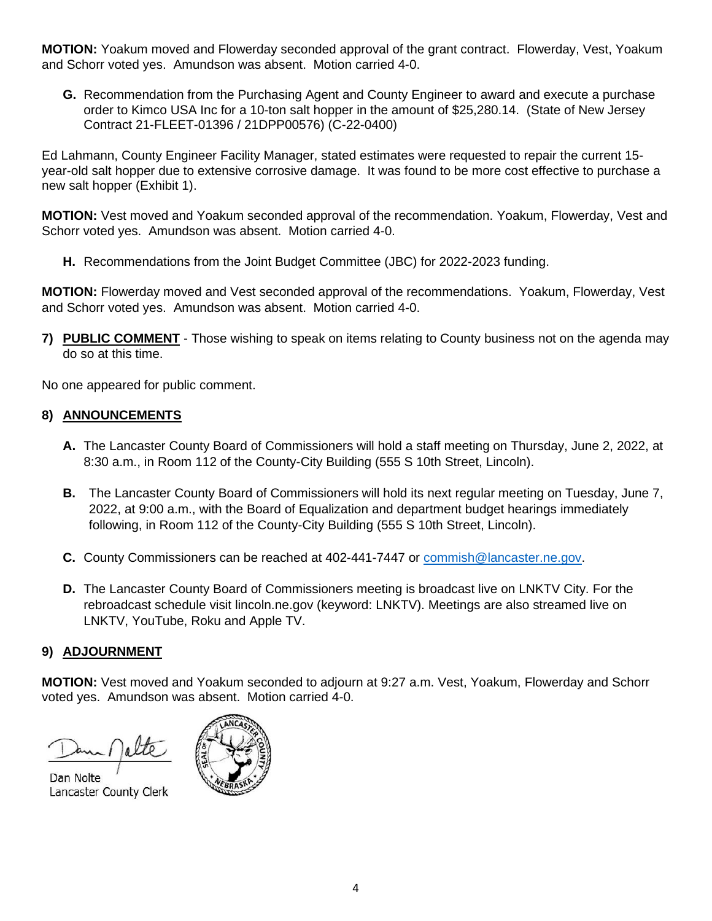**MOTION:** Yoakum moved and Flowerday seconded approval of the grant contract. Flowerday, Vest, Yoakum and Schorr voted yes. Amundson was absent. Motion carried 4-0.

**G.** Recommendation from the Purchasing Agent and County Engineer to award and execute a purchase order to Kimco USA Inc for a 10-ton salt hopper in the amount of \$25,280.14. (State of New Jersey Contract 21-FLEET-01396 / 21DPP00576) (C-22-0400)

Ed Lahmann, County Engineer Facility Manager, stated estimates were requested to repair the current 15 year-old salt hopper due to extensive corrosive damage. It was found to be more cost effective to purchase a new salt hopper (Exhibit 1).

**MOTION:** Vest moved and Yoakum seconded approval of the recommendation. Yoakum, Flowerday, Vest and Schorr voted yes. Amundson was absent. Motion carried 4-0.

**H.** Recommendations from the Joint Budget Committee (JBC) for 2022-2023 funding.

**MOTION:** Flowerday moved and Vest seconded approval of the recommendations. Yoakum, Flowerday, Vest and Schorr voted yes. Amundson was absent. Motion carried 4-0.

**7) PUBLIC COMMENT** - Those wishing to speak on items relating to County business not on the agenda may do so at this time.

No one appeared for public comment.

## **8) ANNOUNCEMENTS**

- **A.** The Lancaster County Board of Commissioners will hold a staff meeting on Thursday, June 2, 2022, at 8:30 a.m., in Room 112 of the County-City Building (555 S 10th Street, Lincoln).
- **B.** The Lancaster County Board of Commissioners will hold its next regular meeting on Tuesday, June 7, 2022, at 9:00 a.m., with the Board of Equalization and department budget hearings immediately following, in Room 112 of the County-City Building (555 S 10th Street, Lincoln).
- **C.** County Commissioners can be reached at 402-441-7447 or [commish@lancaster.ne.gov.](mailto:commish@lancaster.ne.gov)
- **D.** The Lancaster County Board of Commissioners meeting is broadcast live on LNKTV City. For the rebroadcast schedule visit lincoln.ne.gov (keyword: LNKTV). Meetings are also streamed live on LNKTV, YouTube, Roku and Apple TV.

## **9) ADJOURNMENT**

**MOTION:** Vest moved and Yoakum seconded to adjourn at 9:27 a.m. Vest, Yoakum, Flowerday and Schorr voted yes. Amundson was absent. Motion carried 4-0.

Dan Nolte Lancaster County Clerk